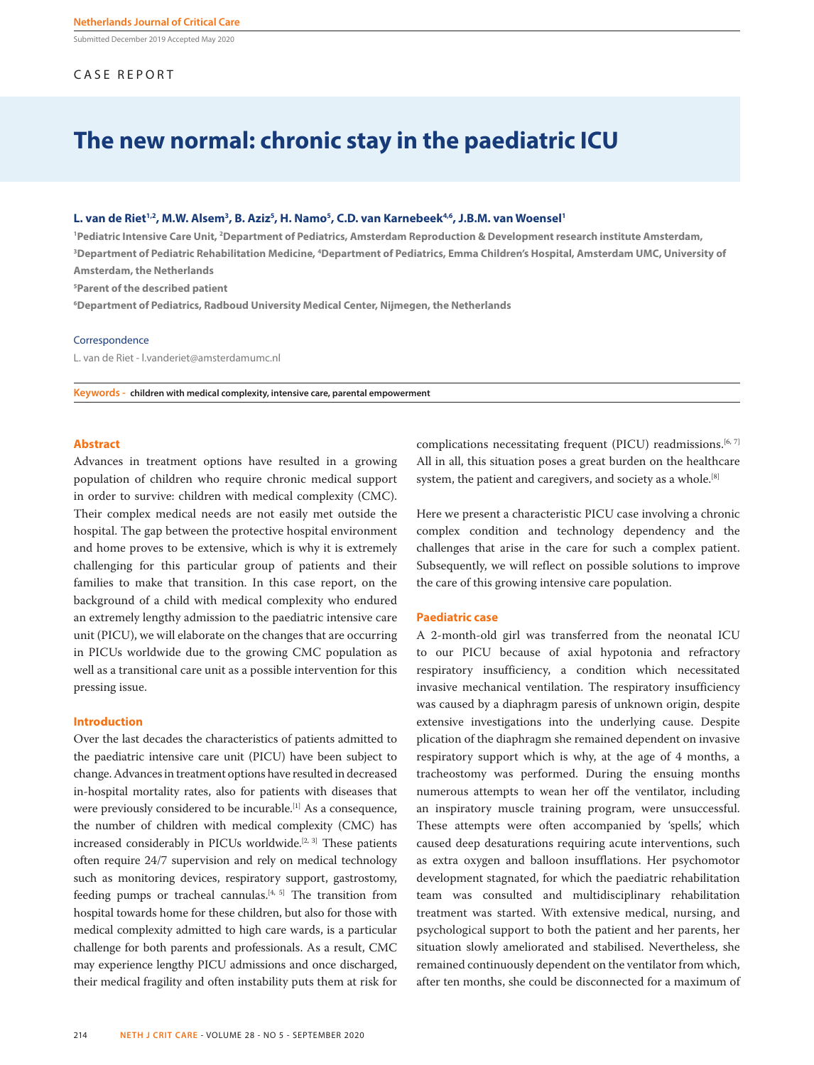Submitted December 2019 Accepted May 2020

# CASE REPORT

# **The new normal: chronic stay in the paediatric ICU**

### L. van de Riet<sup>1,2</sup>, M.W. Alsem<sup>3</sup>, B. Aziz<sup>5</sup>, H. Namo<sup>5</sup>, C.D. van Karnebeek<sup>4,6</sup>, J.B.M. van Woensel<sup>1</sup>

<sup>1</sup>Pediatric Intensive Care Unit, <sup>2</sup>Department of Pediatrics, Amsterdam Reproduction & Development research institute Amsterdam, <sup>3</sup>Department of Pediatric Rehabilitation Medicine, <sup>4</sup>Department of Pediatrics, Emma Children's Hospital, Amsterdam UMC, University of **Amsterdam, the Netherlands**

**5 Parent of the described patient**

**6 Department of Pediatrics, Radboud University Medical Center, Nijmegen, the Netherlands** 

#### **Correspondence**

L. van de Riet - l.vanderiet@amsterdamumc.nl

**Keywords - children with medical complexity, intensive care, parental empowerment**

## **Abstract**

Advances in treatment options have resulted in a growing population of children who require chronic medical support in order to survive: children with medical complexity (CMC). Their complex medical needs are not easily met outside the hospital. The gap between the protective hospital environment and home proves to be extensive, which is why it is extremely challenging for this particular group of patients and their families to make that transition. In this case report, on the background of a child with medical complexity who endured an extremely lengthy admission to the paediatric intensive care unit (PICU), we will elaborate on the changes that are occurring in PICUs worldwide due to the growing CMC population as well as a transitional care unit as a possible intervention for this pressing issue.

# **Introduction**

Over the last decades the characteristics of patients admitted to the paediatric intensive care unit (PICU) have been subject to change. Advances in treatment options have resulted in decreased in-hospital mortality rates, also for patients with diseases that were previously considered to be incurable.<sup>[1]</sup> As a consequence, the number of children with medical complexity (CMC) has increased considerably in PICUs worldwide.<sup>[2, 3]</sup> These patients often require 24/7 supervision and rely on medical technology such as monitoring devices, respiratory support, gastrostomy, feeding pumps or tracheal cannulas.<sup>[4, 5]</sup> The transition from hospital towards home for these children, but also for those with medical complexity admitted to high care wards, is a particular challenge for both parents and professionals. As a result, CMC may experience lengthy PICU admissions and once discharged, their medical fragility and often instability puts them at risk for complications necessitating frequent (PICU) readmissions.<sup>[6, 7]</sup> All in all, this situation poses a great burden on the healthcare system, the patient and caregivers, and society as a whole.<sup>[8]</sup>

Here we present a characteristic PICU case involving a chronic complex condition and technology dependency and the challenges that arise in the care for such a complex patient. Subsequently, we will reflect on possible solutions to improve the care of this growing intensive care population.

#### **Paediatric case**

A 2-month-old girl was transferred from the neonatal ICU to our PICU because of axial hypotonia and refractory respiratory insufficiency, a condition which necessitated invasive mechanical ventilation. The respiratory insufficiency was caused by a diaphragm paresis of unknown origin, despite extensive investigations into the underlying cause. Despite plication of the diaphragm she remained dependent on invasive respiratory support which is why, at the age of 4 months, a tracheostomy was performed. During the ensuing months numerous attempts to wean her off the ventilator, including an inspiratory muscle training program, were unsuccessful. These attempts were often accompanied by 'spells', which caused deep desaturations requiring acute interventions, such as extra oxygen and balloon insufflations. Her psychomotor development stagnated, for which the paediatric rehabilitation team was consulted and multidisciplinary rehabilitation treatment was started. With extensive medical, nursing, and psychological support to both the patient and her parents, her situation slowly ameliorated and stabilised. Nevertheless, she remained continuously dependent on the ventilator from which, after ten months, she could be disconnected for a maximum of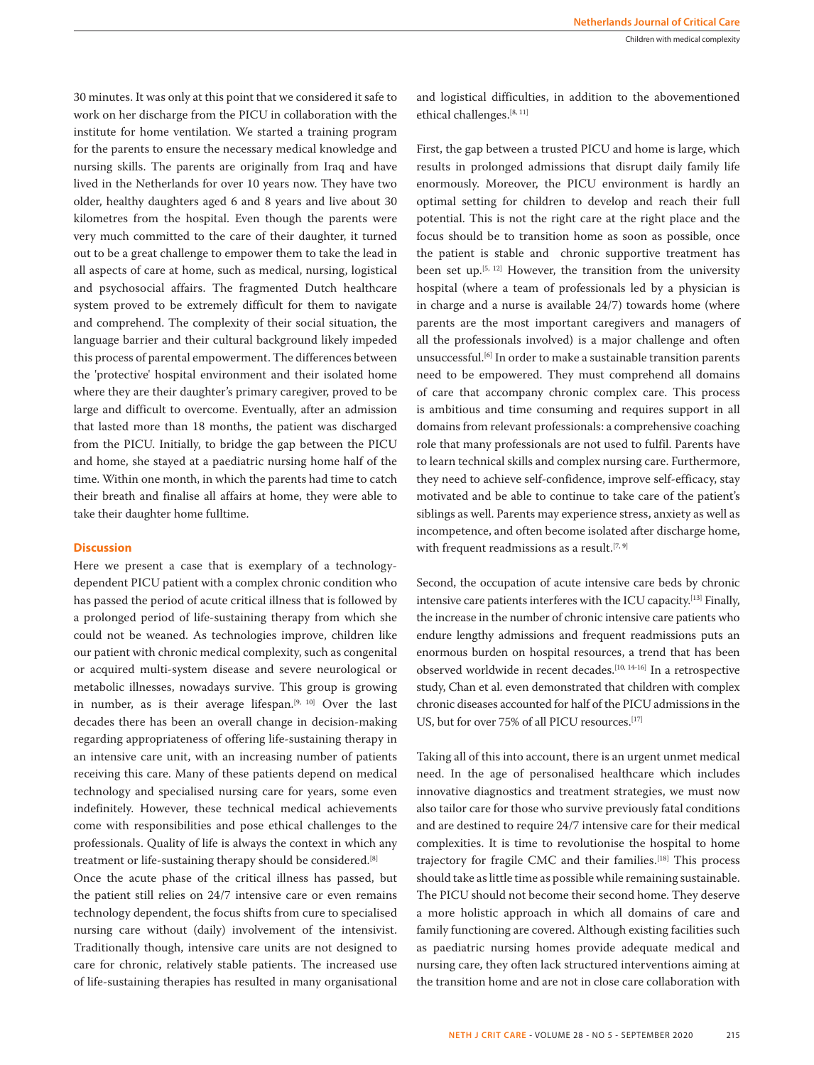30 minutes. It was only at this point that we considered it safe to work on her discharge from the PICU in collaboration with the institute for home ventilation. We started a training program for the parents to ensure the necessary medical knowledge and nursing skills. The parents are originally from Iraq and have lived in the Netherlands for over 10 years now. They have two older, healthy daughters aged 6 and 8 years and live about 30 kilometres from the hospital. Even though the parents were very much committed to the care of their daughter, it turned out to be a great challenge to empower them to take the lead in all aspects of care at home, such as medical, nursing, logistical and psychosocial affairs. The fragmented Dutch healthcare system proved to be extremely difficult for them to navigate and comprehend. The complexity of their social situation, the language barrier and their cultural background likely impeded this process of parental empowerment. The differences between the 'protective' hospital environment and their isolated home where they are their daughter's primary caregiver, proved to be large and difficult to overcome. Eventually, after an admission that lasted more than 18 months, the patient was discharged from the PICU. Initially, to bridge the gap between the PICU and home, she stayed at a paediatric nursing home half of the time. Within one month, in which the parents had time to catch their breath and finalise all affairs at home, they were able to take their daughter home fulltime.

# **Discussion**

Here we present a case that is exemplary of a technologydependent PICU patient with a complex chronic condition who has passed the period of acute critical illness that is followed by a prolonged period of life-sustaining therapy from which she could not be weaned. As technologies improve, children like our patient with chronic medical complexity, such as congenital or acquired multi-system disease and severe neurological or metabolic illnesses, nowadays survive. This group is growing in number, as is their average lifespan.<sup>[9, 10]</sup> Over the last decades there has been an overall change in decision-making regarding appropriateness of offering life-sustaining therapy in an intensive care unit, with an increasing number of patients receiving this care. Many of these patients depend on medical technology and specialised nursing care for years, some even indefinitely. However, these technical medical achievements come with responsibilities and pose ethical challenges to the professionals. Quality of life is always the context in which any treatment or life-sustaining therapy should be considered.<sup>[8]</sup>

Once the acute phase of the critical illness has passed, but the patient still relies on 24/7 intensive care or even remains technology dependent, the focus shifts from cure to specialised nursing care without (daily) involvement of the intensivist. Traditionally though, intensive care units are not designed to care for chronic, relatively stable patients. The increased use of life-sustaining therapies has resulted in many organisational

and logistical difficulties, in addition to the abovementioned ethical challenges.<sup>[8, 11]</sup>

First, the gap between a trusted PICU and home is large, which results in prolonged admissions that disrupt daily family life enormously. Moreover, the PICU environment is hardly an optimal setting for children to develop and reach their full potential. This is not the right care at the right place and the focus should be to transition home as soon as possible, once the patient is stable and chronic supportive treatment has been set up. $[5, 12]$  However, the transition from the university hospital (where a team of professionals led by a physician is in charge and a nurse is available 24/7) towards home (where parents are the most important caregivers and managers of all the professionals involved) is a major challenge and often unsuccessful.<sup>[6]</sup> In order to make a sustainable transition parents need to be empowered. They must comprehend all domains of care that accompany chronic complex care. This process is ambitious and time consuming and requires support in all domains from relevant professionals: a comprehensive coaching role that many professionals are not used to fulfil. Parents have to learn technical skills and complex nursing care. Furthermore, they need to achieve self-confidence, improve self-efficacy, stay motivated and be able to continue to take care of the patient's siblings as well. Parents may experience stress, anxiety as well as incompetence, and often become isolated after discharge home, with frequent readmissions as a result.<sup>[7, 9]</sup>

Second, the occupation of acute intensive care beds by chronic intensive care patients interferes with the ICU capacity.[13] Finally, the increase in the number of chronic intensive care patients who endure lengthy admissions and frequent readmissions puts an enormous burden on hospital resources, a trend that has been observed worldwide in recent decades.[10, 14-16] In a retrospective study, Chan et al. even demonstrated that children with complex chronic diseases accounted for half of the PICU admissions in the US, but for over 75% of all PICU resources.<sup>[17]</sup>

Taking all of this into account, there is an urgent unmet medical need. In the age of personalised healthcare which includes innovative diagnostics and treatment strategies, we must now also tailor care for those who survive previously fatal conditions and are destined to require 24/7 intensive care for their medical complexities. It is time to revolutionise the hospital to home trajectory for fragile CMC and their families.<sup>[18]</sup> This process should take as little time as possible while remaining sustainable. The PICU should not become their second home. They deserve a more holistic approach in which all domains of care and family functioning are covered. Although existing facilities such as paediatric nursing homes provide adequate medical and nursing care, they often lack structured interventions aiming at the transition home and are not in close care collaboration with